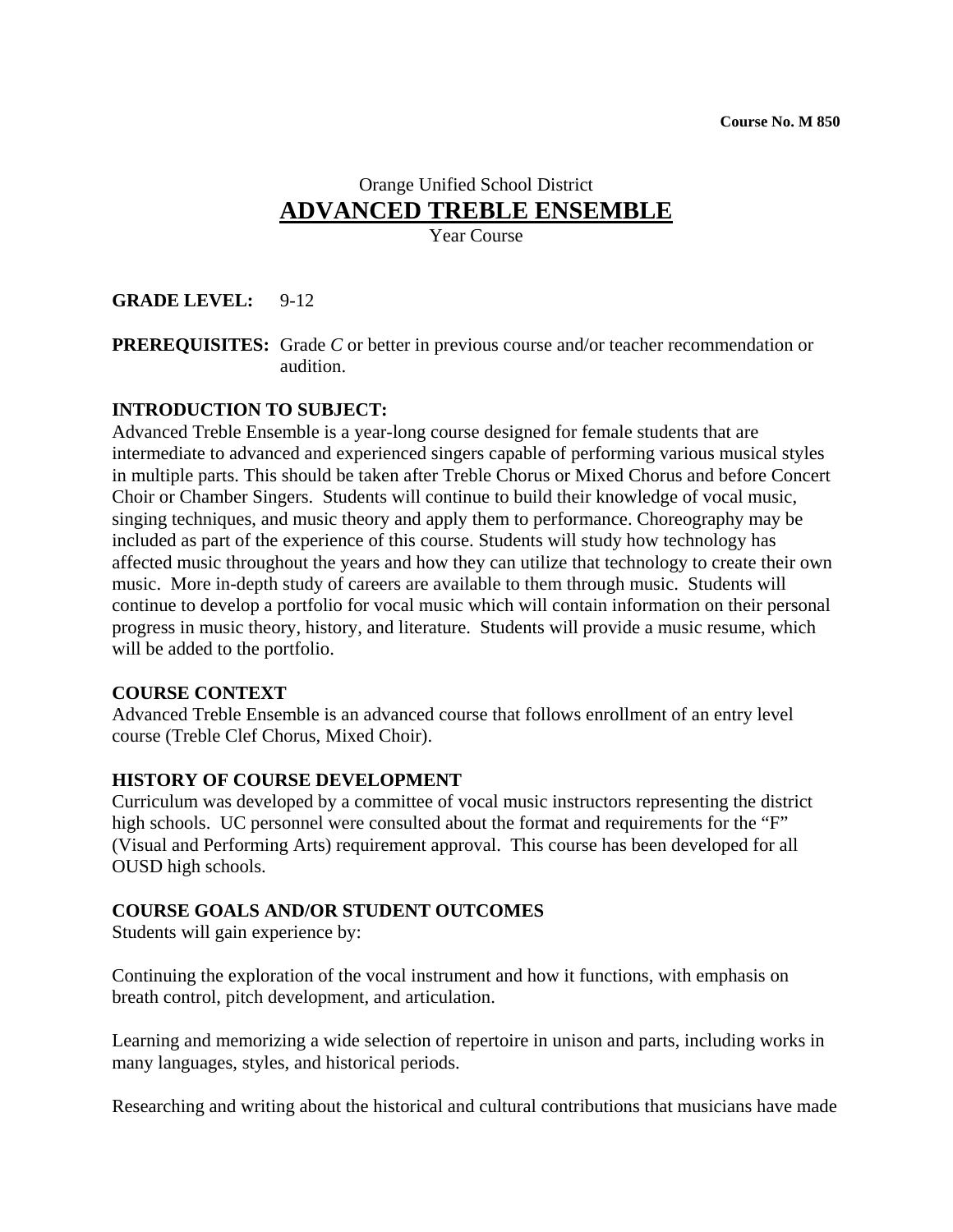# Orange Unified School District **ADVANCED TREBLE ENSEMBLE**

Year Course

## **GRADE LEVEL:** 9-12

**PREREQUISITES:** Grade *C* or better in previous course and/or teacher recommendation or audition.

### **INTRODUCTION TO SUBJECT:**

Advanced Treble Ensemble is a year-long course designed for female students that are intermediate to advanced and experienced singers capable of performing various musical styles in multiple parts. This should be taken after Treble Chorus or Mixed Chorus and before Concert Choir or Chamber Singers. Students will continue to build their knowledge of vocal music, singing techniques, and music theory and apply them to performance. Choreography may be included as part of the experience of this course. Students will study how technology has affected music throughout the years and how they can utilize that technology to create their own music. More in-depth study of careers are available to them through music. Students will continue to develop a portfolio for vocal music which will contain information on their personal progress in music theory, history, and literature. Students will provide a music resume, which will be added to the portfolio.

#### **COURSE CONTEXT**

Advanced Treble Ensemble is an advanced course that follows enrollment of an entry level course (Treble Clef Chorus, Mixed Choir).

#### **HISTORY OF COURSE DEVELOPMENT**

Curriculum was developed by a committee of vocal music instructors representing the district high schools. UC personnel were consulted about the format and requirements for the "F" (Visual and Performing Arts) requirement approval. This course has been developed for all OUSD high schools.

### **COURSE GOALS AND/OR STUDENT OUTCOMES**

Students will gain experience by:

Continuing the exploration of the vocal instrument and how it functions, with emphasis on breath control, pitch development, and articulation.

Learning and memorizing a wide selection of repertoire in unison and parts, including works in many languages, styles, and historical periods.

Researching and writing about the historical and cultural contributions that musicians have made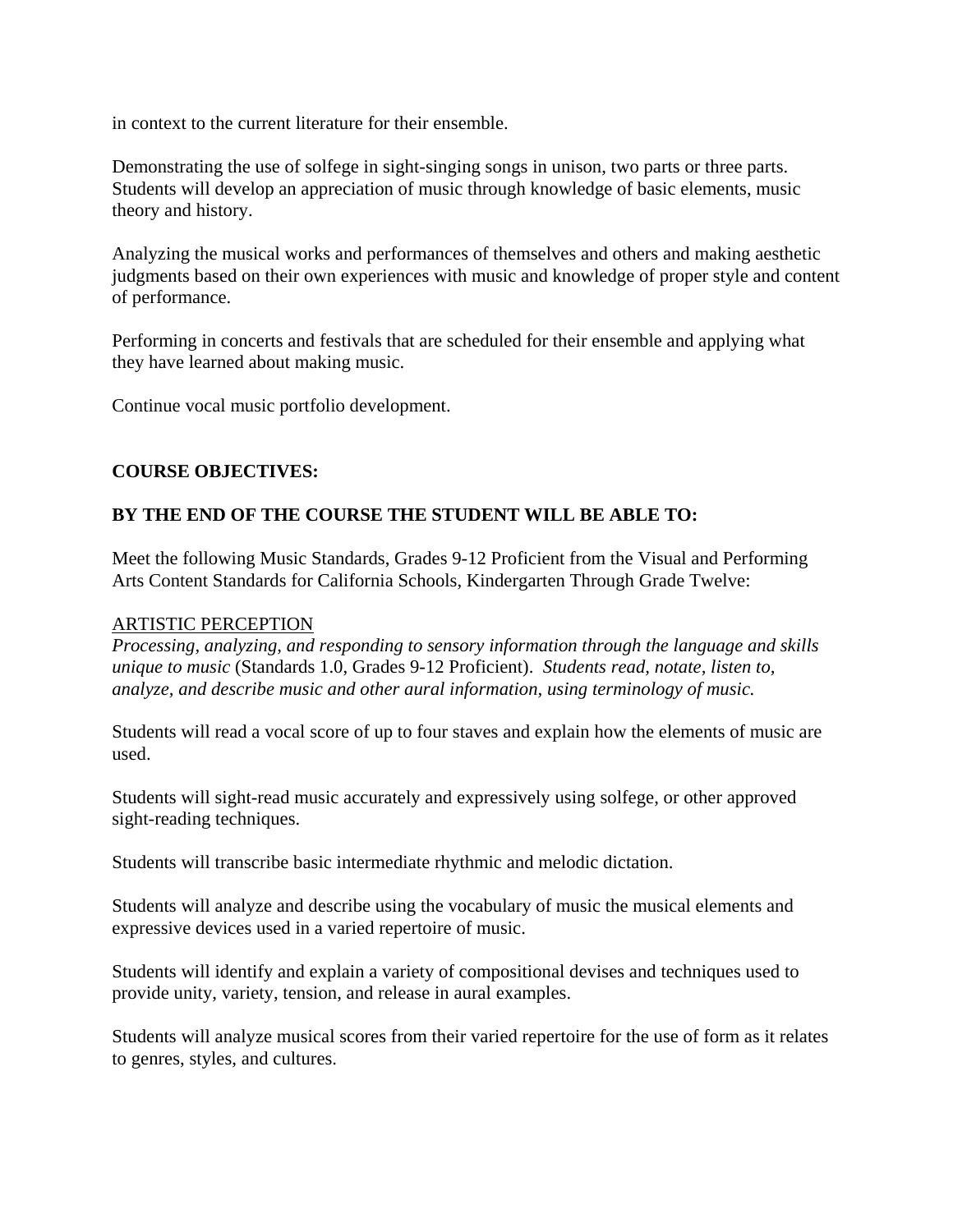in context to the current literature for their ensemble.

Demonstrating the use of solfege in sight-singing songs in unison, two parts or three parts. Students will develop an appreciation of music through knowledge of basic elements, music theory and history.

Analyzing the musical works and performances of themselves and others and making aesthetic judgments based on their own experiences with music and knowledge of proper style and content of performance.

Performing in concerts and festivals that are scheduled for their ensemble and applying what they have learned about making music.

Continue vocal music portfolio development.

# **COURSE OBJECTIVES:**

# **BY THE END OF THE COURSE THE STUDENT WILL BE ABLE TO:**

Meet the following Music Standards, Grades 9-12 Proficient from the Visual and Performing Arts Content Standards for California Schools, Kindergarten Through Grade Twelve:

## ARTISTIC PERCEPTION

*Processing, analyzing, and responding to sensory information through the language and skills unique to music* (Standards 1.0, Grades 9-12 Proficient). *Students read, notate, listen to, analyze, and describe music and other aural information, using terminology of music.* 

Students will read a vocal score of up to four staves and explain how the elements of music are used.

Students will sight-read music accurately and expressively using solfege, or other approved sight-reading techniques.

Students will transcribe basic intermediate rhythmic and melodic dictation.

Students will analyze and describe using the vocabulary of music the musical elements and expressive devices used in a varied repertoire of music.

Students will identify and explain a variety of compositional devises and techniques used to provide unity, variety, tension, and release in aural examples.

Students will analyze musical scores from their varied repertoire for the use of form as it relates to genres, styles, and cultures.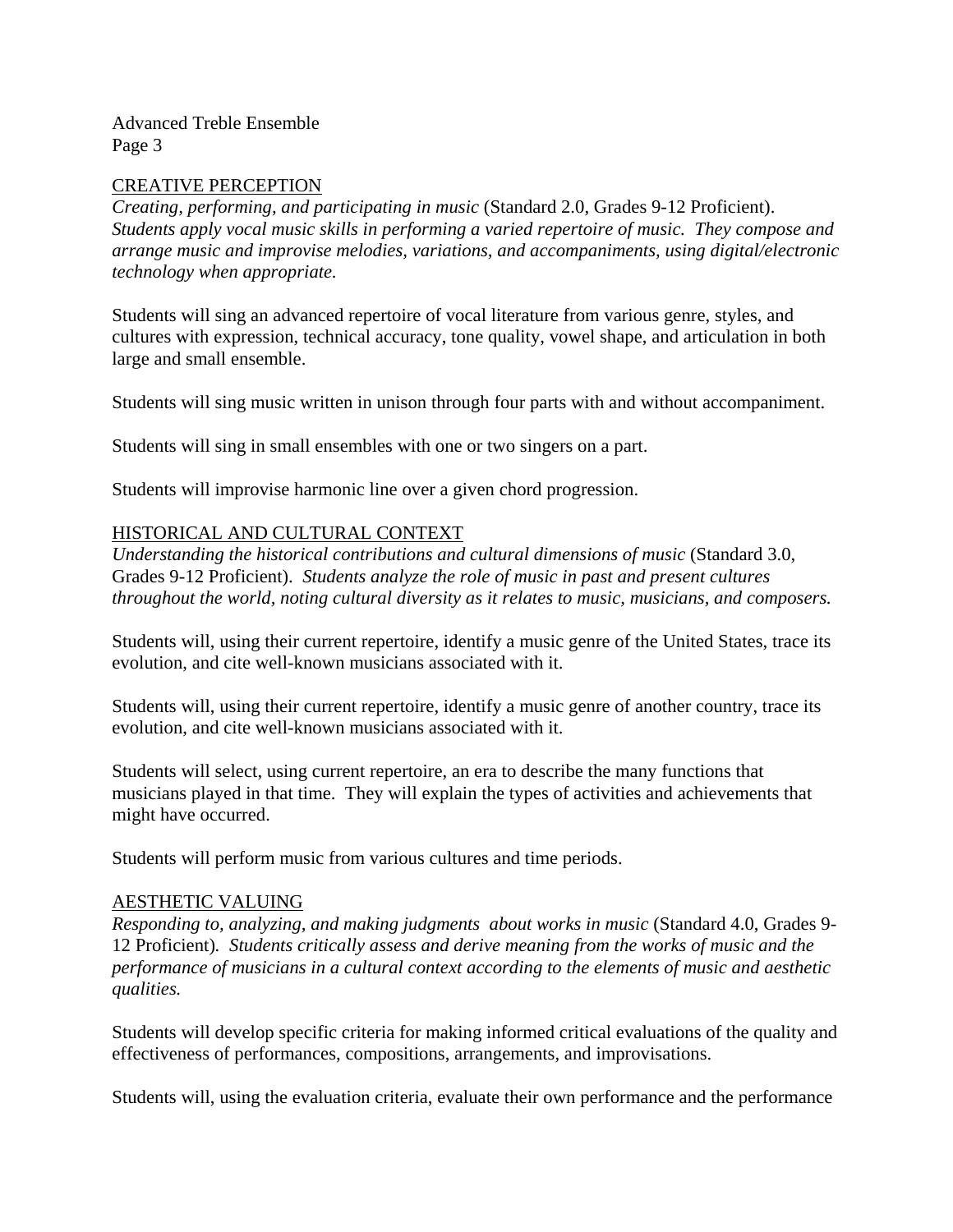### CREATIVE PERCEPTION

*Creating, performing, and participating in music* (Standard 2.0, Grades 9-12 Proficient). *Students apply vocal music skills in performing a varied repertoire of music. They compose and arrange music and improvise melodies, variations, and accompaniments, using digital/electronic technology when appropriate.* 

Students will sing an advanced repertoire of vocal literature from various genre, styles, and cultures with expression, technical accuracy, tone quality, vowel shape, and articulation in both large and small ensemble.

Students will sing music written in unison through four parts with and without accompaniment.

Students will sing in small ensembles with one or two singers on a part.

Students will improvise harmonic line over a given chord progression.

### HISTORICAL AND CULTURAL CONTEXT

*Understanding the historical contributions and cultural dimensions of music* (Standard 3.0, Grades 9-12 Proficient). *Students analyze the role of music in past and present cultures throughout the world, noting cultural diversity as it relates to music, musicians, and composers.* 

Students will, using their current repertoire, identify a music genre of the United States, trace its evolution, and cite well-known musicians associated with it.

Students will, using their current repertoire, identify a music genre of another country, trace its evolution, and cite well-known musicians associated with it.

Students will select, using current repertoire, an era to describe the many functions that musicians played in that time. They will explain the types of activities and achievements that might have occurred.

Students will perform music from various cultures and time periods.

### AESTHETIC VALUING

*Responding to, analyzing, and making judgments about works in music* (Standard 4.0, Grades 9- 12 Proficient)*. Students critically assess and derive meaning from the works of music and the performance of musicians in a cultural context according to the elements of music and aesthetic qualities.*

Students will develop specific criteria for making informed critical evaluations of the quality and effectiveness of performances, compositions, arrangements, and improvisations.

Students will, using the evaluation criteria, evaluate their own performance and the performance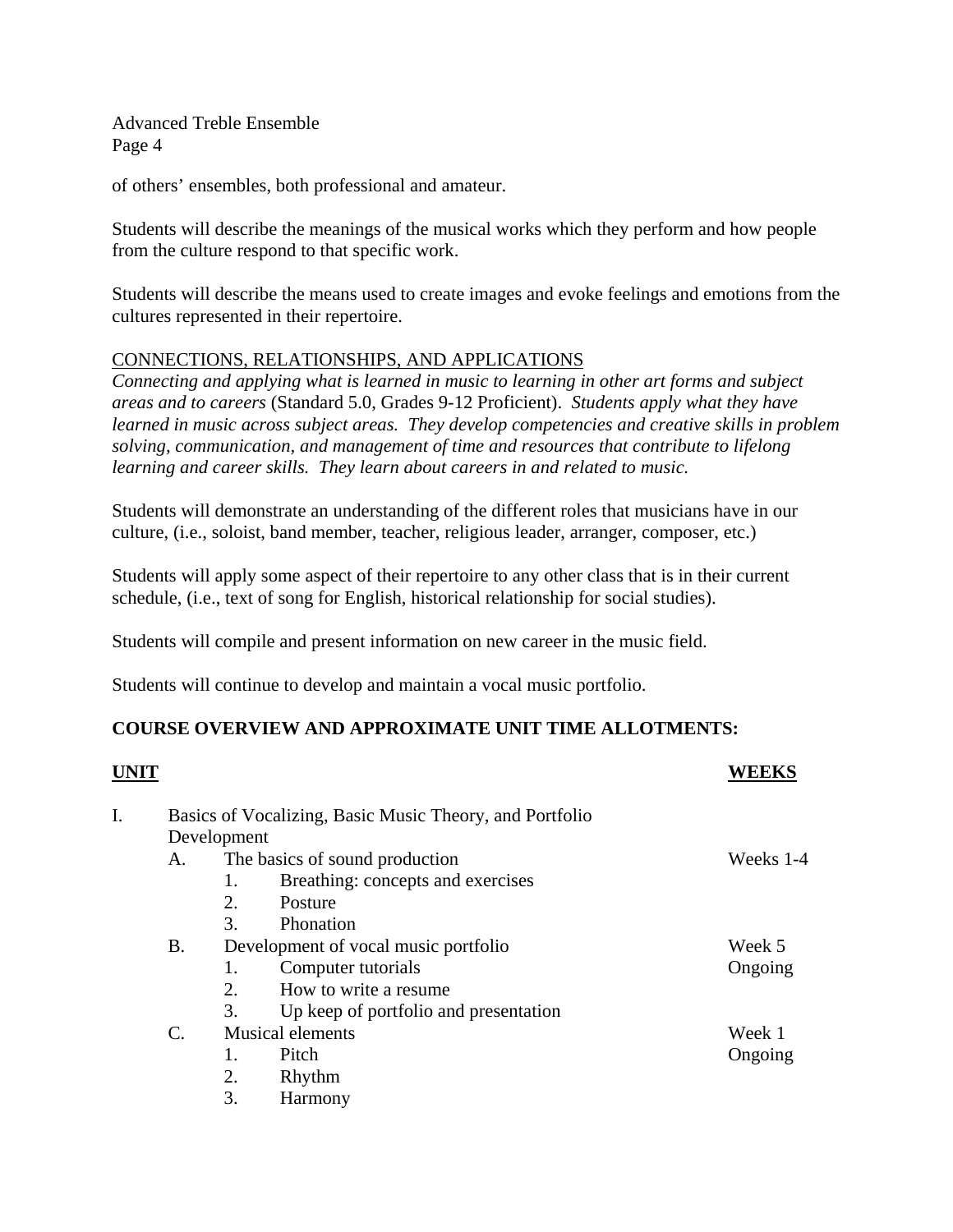of others' ensembles, both professional and amateur.

Students will describe the meanings of the musical works which they perform and how people from the culture respond to that specific work.

Students will describe the means used to create images and evoke feelings and emotions from the cultures represented in their repertoire.

# CONNECTIONS, RELATIONSHIPS, AND APPLICATIONS

*Connecting and applying what is learned in music to learning in other art forms and subject areas and to careers* (Standard 5.0, Grades 9-12 Proficient). *Students apply what they have learned in music across subject areas. They develop competencies and creative skills in problem solving, communication, and management of time and resources that contribute to lifelong learning and career skills. They learn about careers in and related to music.* 

Students will demonstrate an understanding of the different roles that musicians have in our culture, (i.e., soloist, band member, teacher, religious leader, arranger, composer, etc.)

Students will apply some aspect of their repertoire to any other class that is in their current schedule, (i.e., text of song for English, historical relationship for social studies).

Students will compile and present information on new career in the music field.

Students will continue to develop and maintain a vocal music portfolio.

# **COURSE OVERVIEW AND APPROXIMATE UNIT TIME ALLOTMENTS:**

|                                                         |    |                                       | WEEKS                                                                                                            |  |
|---------------------------------------------------------|----|---------------------------------------|------------------------------------------------------------------------------------------------------------------|--|
| Basics of Vocalizing, Basic Music Theory, and Portfolio |    |                                       |                                                                                                                  |  |
|                                                         |    |                                       |                                                                                                                  |  |
| А.                                                      |    |                                       | Weeks 1-4                                                                                                        |  |
|                                                         | 1. | Breathing: concepts and exercises     |                                                                                                                  |  |
|                                                         | 2. | Posture                               |                                                                                                                  |  |
|                                                         | 3. | Phonation                             |                                                                                                                  |  |
| <b>B.</b>                                               |    |                                       | Week 5                                                                                                           |  |
|                                                         | 1. | Computer tutorials                    | Ongoing                                                                                                          |  |
|                                                         | 2. | How to write a resume                 |                                                                                                                  |  |
|                                                         | 3. | Up keep of portfolio and presentation |                                                                                                                  |  |
| $\mathcal{C}$ .                                         |    |                                       | Week 1                                                                                                           |  |
|                                                         | 1. | Pitch                                 | Ongoing                                                                                                          |  |
|                                                         | 2. | Rhythm                                |                                                                                                                  |  |
|                                                         | 3. | Harmony                               |                                                                                                                  |  |
|                                                         |    |                                       | Development<br>The basics of sound production<br>Development of vocal music portfolio<br><b>Musical elements</b> |  |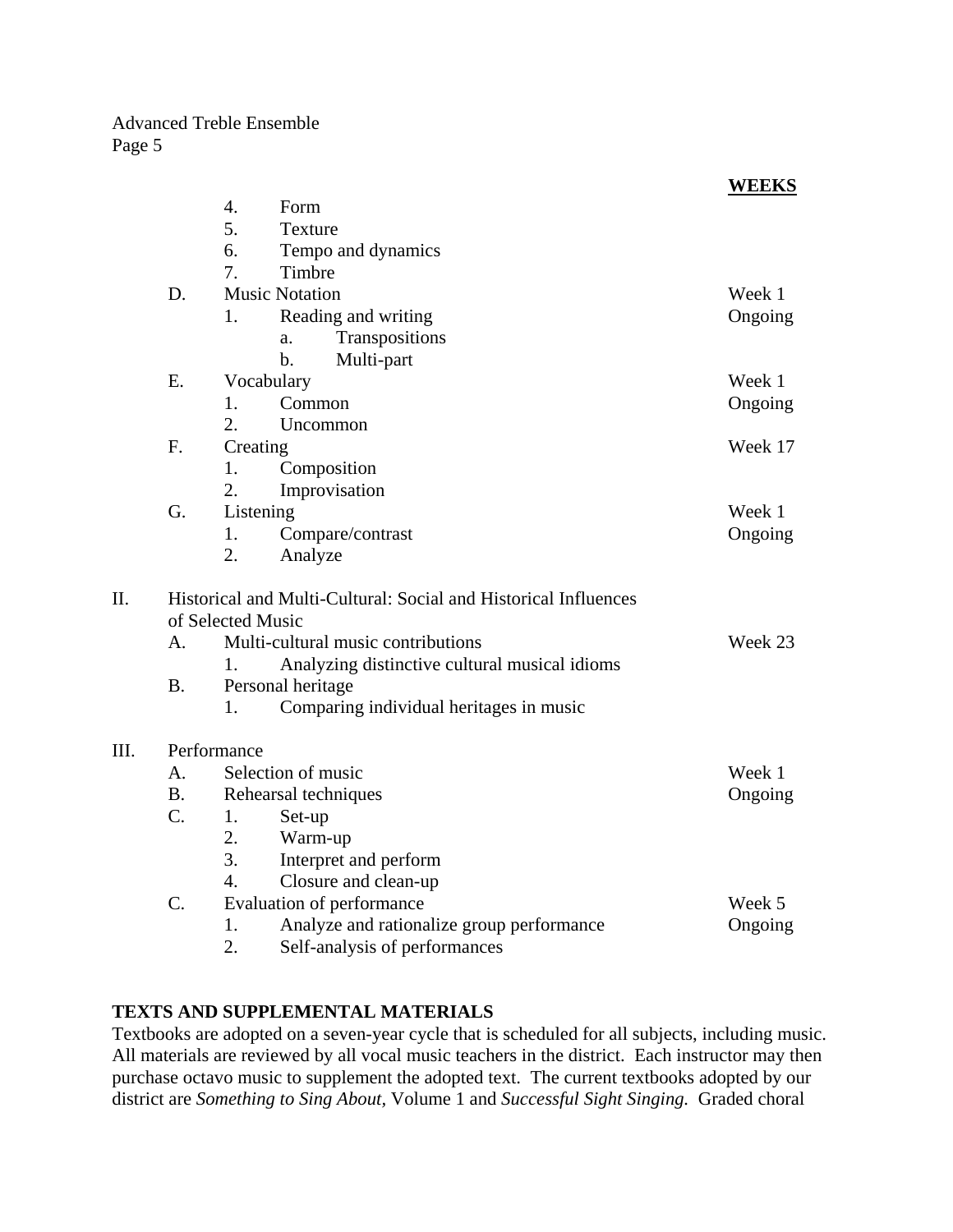|      |                |                                                                                      |                                           | <b>WEEKS</b> |  |  |  |
|------|----------------|--------------------------------------------------------------------------------------|-------------------------------------------|--------------|--|--|--|
|      |                | 4.                                                                                   | Form                                      |              |  |  |  |
|      |                | 5.                                                                                   | <b>Texture</b>                            |              |  |  |  |
|      |                | 6.                                                                                   | Tempo and dynamics                        |              |  |  |  |
|      |                | 7.                                                                                   | Timbre                                    |              |  |  |  |
|      | D.             |                                                                                      | <b>Music Notation</b>                     | Week 1       |  |  |  |
|      |                | 1.                                                                                   | Reading and writing                       | Ongoing      |  |  |  |
|      |                |                                                                                      | Transpositions<br>a.                      |              |  |  |  |
|      |                |                                                                                      | $\mathbf{b}$ .<br>Multi-part              |              |  |  |  |
|      | E.             | Vocabulary                                                                           | Week 1                                    |              |  |  |  |
|      |                | $1_{-}$                                                                              | Common                                    | Ongoing      |  |  |  |
|      |                | 2.                                                                                   | Uncommon                                  |              |  |  |  |
|      | F.             | Creating                                                                             |                                           | Week 17      |  |  |  |
|      |                | 1.                                                                                   | Composition                               |              |  |  |  |
|      |                | 2.                                                                                   | Improvisation                             |              |  |  |  |
|      | G.             | Listening                                                                            |                                           | Week 1       |  |  |  |
|      |                | 1.                                                                                   | Compare/contrast                          | Ongoing      |  |  |  |
|      |                | 2.                                                                                   | Analyze                                   |              |  |  |  |
| II.  |                | Historical and Multi-Cultural: Social and Historical Influences<br>of Selected Music |                                           |              |  |  |  |
|      | A <sub>1</sub> |                                                                                      | Week 23                                   |              |  |  |  |
|      |                | Multi-cultural music contributions                                                   |                                           |              |  |  |  |
|      | <b>B.</b>      | 1.<br>Analyzing distinctive cultural musical idioms                                  |                                           |              |  |  |  |
|      |                | Personal heritage<br>1.                                                              |                                           |              |  |  |  |
|      |                |                                                                                      | Comparing individual heritages in music   |              |  |  |  |
| III. | Performance    |                                                                                      |                                           |              |  |  |  |
|      | A.             |                                                                                      | Selection of music                        | Week 1       |  |  |  |
|      | <b>B.</b>      | Rehearsal techniques                                                                 | Ongoing                                   |              |  |  |  |
|      | $C_{\cdot}$    | 1.                                                                                   | Set-up                                    |              |  |  |  |
|      |                | 2.                                                                                   | Warm-up                                   |              |  |  |  |
|      |                | 3.                                                                                   | Interpret and perform                     |              |  |  |  |
|      |                | $\overline{4}$ .                                                                     | Closure and clean-up                      |              |  |  |  |
|      | C.             |                                                                                      | Evaluation of performance                 | Week 5       |  |  |  |
|      |                | 1.                                                                                   | Analyze and rationalize group performance | Ongoing      |  |  |  |
|      |                | 2.                                                                                   | Self-analysis of performances             |              |  |  |  |

# **TEXTS AND SUPPLEMENTAL MATERIALS**

Textbooks are adopted on a seven-year cycle that is scheduled for all subjects, including music. All materials are reviewed by all vocal music teachers in the district. Each instructor may then purchase octavo music to supplement the adopted text. The current textbooks adopted by our district are *Something to Sing About,* Volume 1 and *Successful Sight Singing.* Graded choral